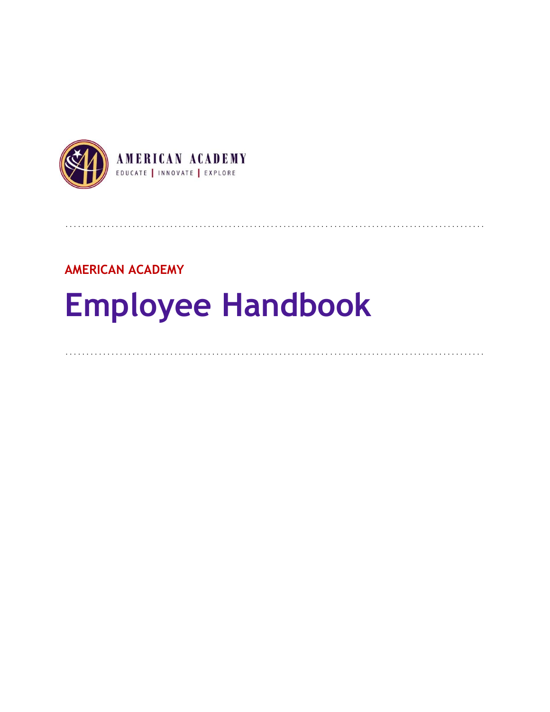

## **AMERICAN ACADEMY**

# **Employee Handbook**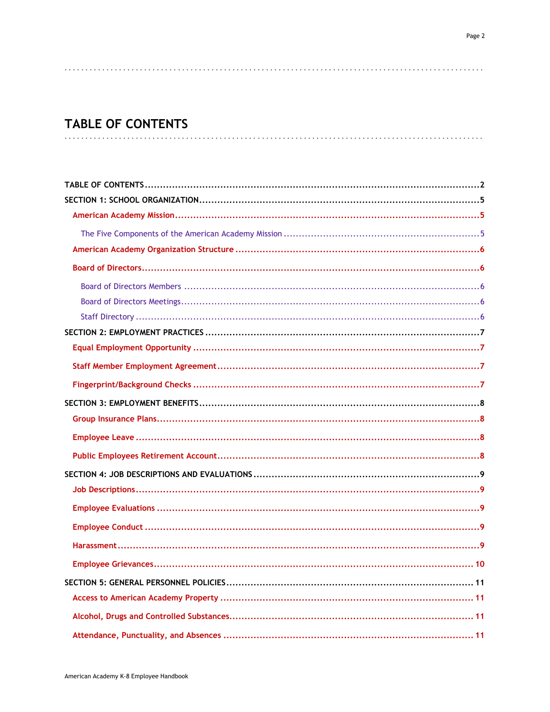# **TABLE OF CONTENTS**

<span id="page-1-0"></span>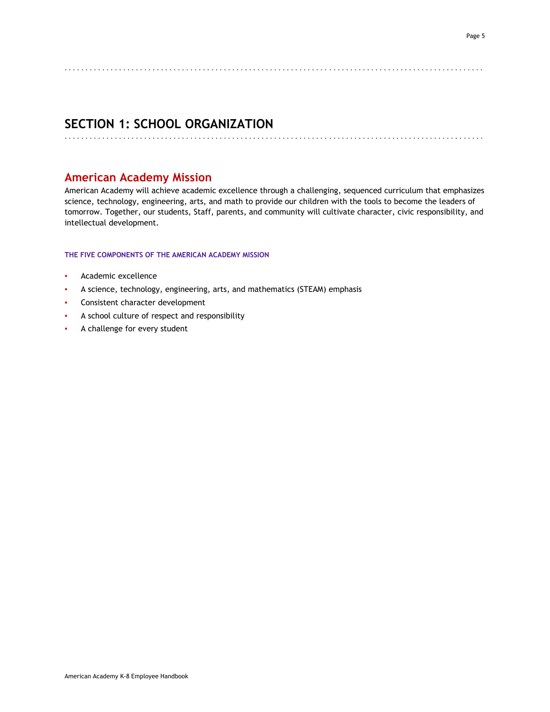<span id="page-4-1"></span>. . . . . . . . . . . . . . . . . . . . . . . . . . . . . . . . . . . . . . . . . . . . . . . . . . . . . . . . . . . . . . . . . . . . . . . . . . . . . . . . . . . . . . . . . . . . . . . . . . . .

## **SECTION 1: SCHOOL ORGANIZATION**

## **American Academy Mission**

American Academy will achieve academic excellence through a challenging, sequenced curriculum that emphasizes science, technology, engineering, arts, and math to provide our children with the tools to become the leaders of tomorrow. Together, our students, Staff, parents, and community will cultivate character, civic responsibility, and intellectual development.

<span id="page-4-0"></span>. . . . . . . . . . . . . . . . . . . . . . . . . . . . . . . . . . . . . . . . . . . . . . . . . . . . . . . . . . . . . . . . . . . . . . . . . . . . . . . . . . . . . . . . . . . . . . . . . . . .

#### <span id="page-4-2"></span>**THE FIVE COMPONENTS OF THE AMERICAN ACADEMY MISSION**

- Academic excellence
- A science, technology, engineering, arts, and mathematics (STEAM) emphasis
- Consistent character development
- A school culture of respect and responsibility
- A challenge for every student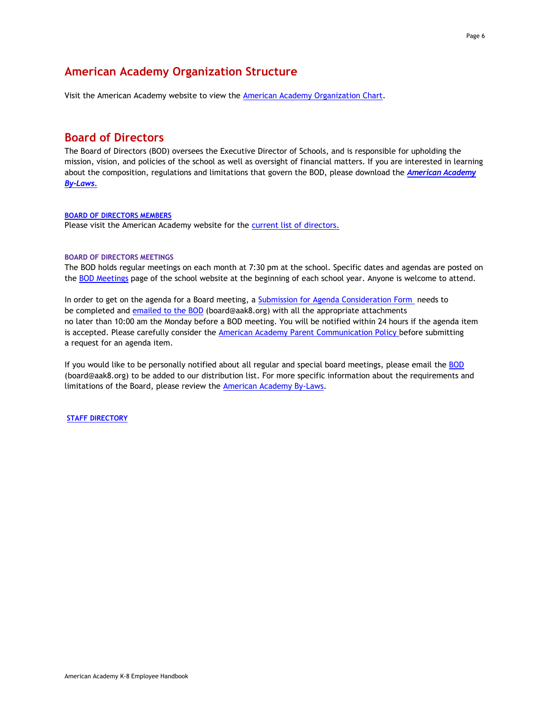## <span id="page-5-0"></span>**American Academy Organization Structure**

<span id="page-5-1"></span>Visit the American Academy website to view the [American Academy Organization Chart.](http://www.americanacademyk8.org/AADocumentServer/BOD/BODPolicies/AAOrganizationChart.pdf)

## **Board of Directors**

The Board of Directors (BOD) oversees the Executive Director of Schools, and is responsible for upholding the mission, vision, and policies of the school as well as oversight of financial matters. If you are interested in learning about the composition, regulations and limitations that govern the BOD, please download the *[American Academy](http://www.americanacademyk8.org/AADocumentServer/BOD/BODPolicies/AABylaws.pdf) [By-Laws.](http://www.americanacademyk8.org/AADocumentServer/BOD/BODPolicies/AABylaws.pdf)*

#### <span id="page-5-2"></span>**BOARD OF DIRECTORS MEMBERS**

<span id="page-5-3"></span>Please visit the American Academy website for the **current list of directors.** 

#### **BOARD OF DIRECTORS MEETINGS**

The BOD holds regular meetings on each month at 7:30 pm at the school. Specific dates and agendas are posted on the [BOD Meetings](https://www.aak8.org/apps/pages/index.jsp?uREC_ID=810782&type=d&pREC_ID=1192056) page of the school website at the beginning of each school year. Anyone is welcome to attend.

In order to get on the agenda for a Board meeting, a [Submission for Agenda Consideration Form](http://www.americanacademyk8.org/aastaffhome/BOD/forms/BOD/SubmissionForAgendaConsideration-eForm.doc) needs to be completed and [emailed to the BOD](mailto:bod@americanacademyk8.org) (board@aak8.org) with all the appropriate attachments no later than 10:00 am the Monday before a BOD meeting. You will be notified within 24 hours if the agenda item is accepted. Please carefully consider the [American Academy Parent Communication Policy b](http://www.americanacademyk8.org/AADocumentServer/BOD/BODPolicies/ParentCommunicationPolicy.pdf)efore submitting a request for an agenda item.

If you would like to be personally notified about all regular and special board meetings, please email the [BOD](mailto:bod@americanacademyk8.org) (board@aak8.org) to be added to our distribution list. For more specific information about the requirements and limitations of the Board, please review the [American Academy By-Laws.](http://www.americanacademyk8.org/AADocumentServer/BOD/BODPolicies/AABylaws.pdf)

<span id="page-5-4"></span>**[STAFF DIRECTORY](http://www.americanacademyk8.org/admin/staffdirectory.aspx)**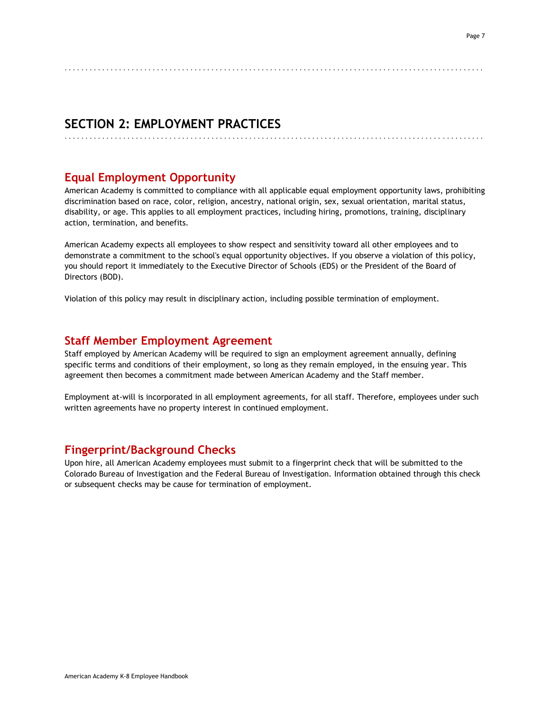## **SECTION 2: EMPLOYMENT PRACTICES**

## **Equal Employment Opportunity**

American Academy is committed to compliance with all applicable equal employment opportunity laws, prohibiting discrimination based on race, color, religion, ancestry, national origin, sex, sexual orientation, marital status, disability, or age. This applies to all employment practices, including hiring, promotions, training, disciplinary action, termination, and benefits.

<span id="page-6-1"></span>. . . . . . . . . . . . . . . . . . . . . . . . . . . . . . . . . . . . . . . . . . . . . . . . . . . . . . . . . . . . . . . . . . . . . . . . . . . . . . . . . . . . . . . . . . . . . . . . . . . .

<span id="page-6-0"></span>. . . . . . . . . . . . . . . . . . . . . . . . . . . . . . . . . . . . . . . . . . . . . . . . . . . . . . . . . . . . . . . . . . . . . . . . . . . . . . . . . . . . . . . . . . . . . . . . . . . .

American Academy expects all employees to show respect and sensitivity toward all other employees and to demonstrate a commitment to the school's equal opportunity objectives. If you observe a violation of this policy, you should report it immediately to the Executive Director of Schools (EDS) or the President of the Board of Directors (BOD).

<span id="page-6-2"></span>Violation of this policy may result in disciplinary action, including possible termination of employment.

## **Staff Member Employment Agreement**

Staff employed by American Academy will be required to sign an employment agreement annually, defining specific terms and conditions of their employment, so long as they remain employed, in the ensuing year. This agreement then becomes a commitment made between American Academy and the Staff member.

<span id="page-6-3"></span>Employment at-will is incorporated in all employment agreements, for all staff. Therefore, employees under such written agreements have no property interest in continued employment.

## **Fingerprint/Background Checks**

Upon hire, all American Academy employees must submit to a fingerprint check that will be submitted to the Colorado Bureau of Investigation and the Federal Bureau of Investigation. Information obtained through this check or subsequent checks may be cause for termination of employment.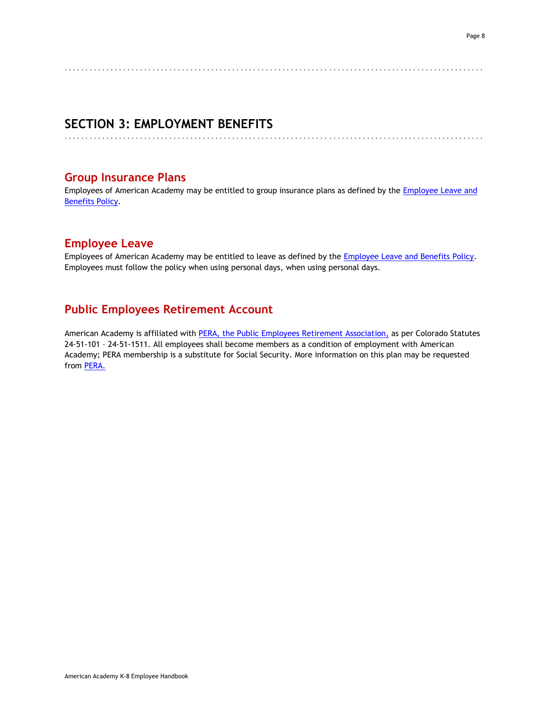<span id="page-7-0"></span>. . . . . . . . . . . . . . . . . . . . . . . . . . . . . . . . . . . . . . . . . . . . . . . . . . . . . . . . . . . . . . . . . . . . . . . . . . . . . . . . . . . . . . . . . . . . . . . . . . . .

## **SECTION 3: EMPLOYMENT BENEFITS**

<span id="page-7-1"></span>. . . . . . . . . . . . . . . . . . . . . . . . . . . . . . . . . . . . . . . . . . . . . . . . . . . . . . . . . . . . . . . . . . . . . . . . . . . . . . . . . . . . . . . . . . . . . . . . . . . .

## **Group Insurance Plans**

<span id="page-7-2"></span>Employees of American Academy may be entitled to group insurance plans as defined by the Employee Leave and [Benefits Policy.](http://www.americanacademyk8.org/AADocumentServer/BOD/BODPolicies/EmployeeLeaveBenefitsPolicy.pdf)

## **Employee Leave**

<span id="page-7-3"></span>Employees of American Academy may be entitled to leave as defined by the **Employee Leave and Benefits Policy**. Employees must follow the policy when using personal days, when using personal days.

## **Public Employees Retirement Account**

American Academy is affiliated with [PERA, the Public Employees Retirement Association,](http://www.copera.org/) as per Colorado Statutes 24-51-101 – 24-51-1511. All employees shall become members as a condition of employment with American Academy; PERA membership is a substitute for Social Security. More information on this plan may be requested from [PERA.](http://www.copera.org/)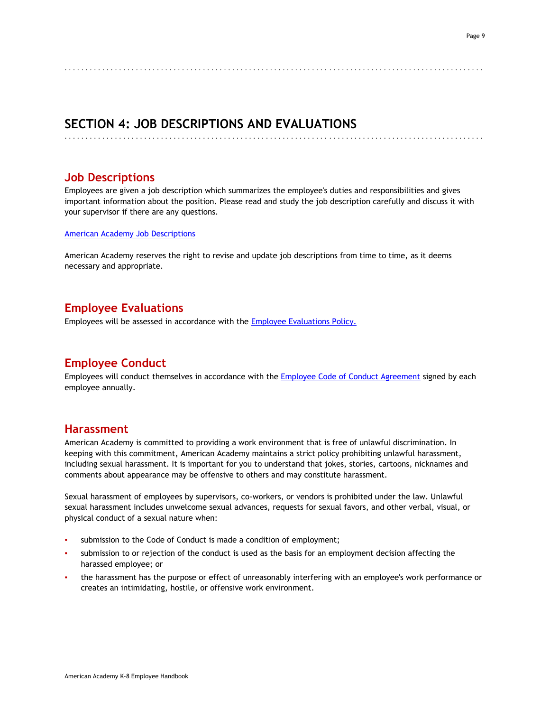## **SECTION 4: JOB DESCRIPTIONS AND EVALUATIONS**

## **Job Descriptions**

Employees are given a job description which summarizes the employee's duties and responsibilities and gives important information about the position. Please read and study the job description carefully and discuss it with your supervisor if there are any questions.

<span id="page-8-1"></span>. . . . . . . . . . . . . . . . . . . . . . . . . . . . . . . . . . . . . . . . . . . . . . . . . . . . . . . . . . . . . . . . . . . . . . . . . . . . . . . . . . . . . . . . . . . . . . . . . . . .

<span id="page-8-0"></span>. . . . . . . . . . . . . . . . . . . . . . . . . . . . . . . . . . . . . . . . . . . . . . . . . . . . . . . . . . . . . . . . . . . . . . . . . . . . . . . . . . . . . . . . . . . . . . . . . . . .

[American Academy Job Descriptions](https://www.aak8.org/apps/pages/index.jsp?uREC_ID=1138347&type=d&pREC_ID=1255605)

<span id="page-8-2"></span>American Academy reserves the right to revise and update job descriptions from time to time, as it deems necessary and appropriate.

## **Employee Evaluations**

<span id="page-8-3"></span>Employees will be assessed in accordance with the [Employee Evaluations Policy.](http://www.americanacademyk8.org/AADocumentServer/BOD/BODPolicies/EmployeeEvaluationsPolicy.pdf)

## **Employee Conduct**

<span id="page-8-4"></span>Employees will conduct themselves in accordance with the [Employee Code of Conduct Agreement](http://www.americanacademyk8.org/aastaffhome/BOD/forms/Employment/HR9-EmployeeCodeofConductAgreementForm.pdf) signed by each employee annually.

## **Harassment**

American Academy is committed to providing a work environment that is free of unlawful discrimination. In keeping with this commitment, American Academy maintains a strict policy prohibiting unlawful harassment, including sexual harassment. It is important for you to understand that jokes, stories, cartoons, nicknames and comments about appearance may be offensive to others and may constitute harassment.

Sexual harassment of employees by supervisors, co-workers, or vendors is prohibited under the law. Unlawful sexual harassment includes unwelcome sexual advances, requests for sexual favors, and other verbal, visual, or physical conduct of a sexual nature when:

- submission to the Code of Conduct is made a condition of employment;
- submission to or rejection of the conduct is used as the basis for an employment decision affecting the harassed employee; or
- the harassment has the purpose or effect of unreasonably interfering with an employee's work performance or creates an intimidating, hostile, or offensive work environment.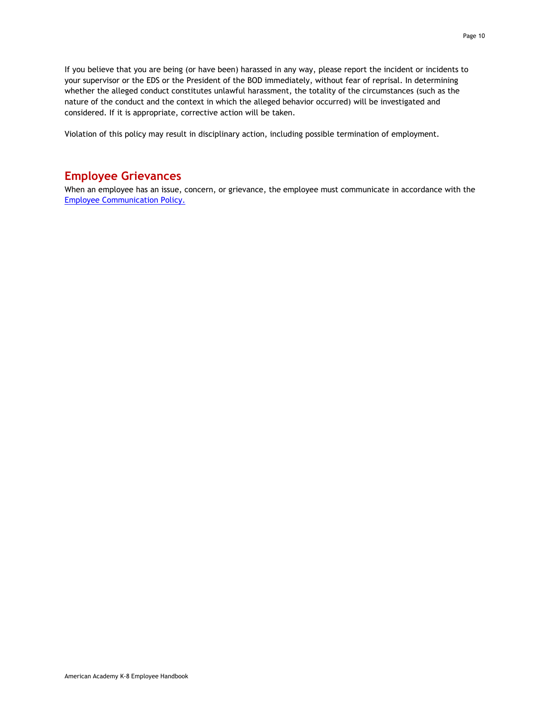If you believe that you are being (or have been) harassed in any way, please report the incident or incidents to your supervisor or the EDS or the President of the BOD immediately, without fear of reprisal. In determining whether the alleged conduct constitutes unlawful harassment, the totality of the circumstances (such as the nature of the conduct and the context in which the alleged behavior occurred) will be investigated and considered. If it is appropriate, corrective action will be taken.

<span id="page-9-0"></span>Violation of this policy may result in disciplinary action, including possible termination of employment.

## **Employee Grievances**

When an employee has an issue, concern, or grievance, the employee must communicate in accordance with the [Employee Communication Policy.](http://www.americanacademyk8.org/AADocumentServer/BOD/BODPolicies/EmployeeCommunicationPolicy.pdf)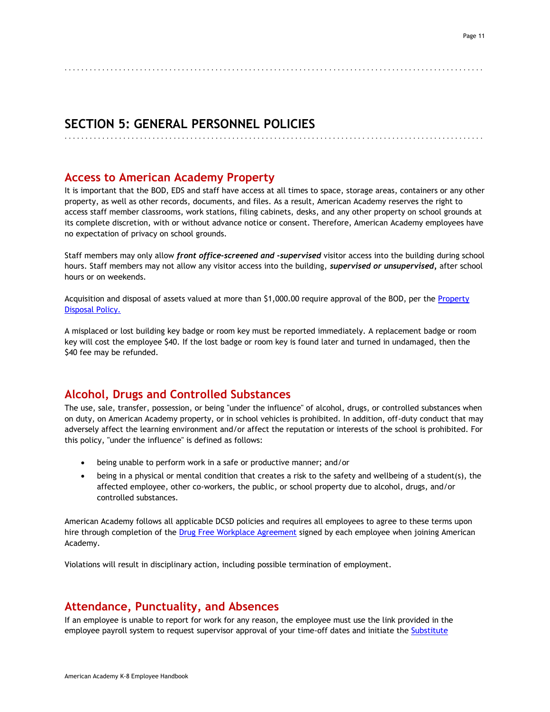## **SECTION 5: GENERAL PERSONNEL POLICIES**

<span id="page-10-1"></span>. . . . . . . . . . . . . . . . . . . . . . . . . . . . . . . . . . . . . . . . . . . . . . . . . . . . . . . . . . . . . . . . . . . . . . . . . . . . . . . . . . . . . . . . . . . . . . . . . . . .

## **Access to American Academy Property**

It is important that the BOD, EDS and staff have access at all times to space, storage areas, containers or any other property, as well as other records, documents, and files. As a result, American Academy reserves the right to access staff member classrooms, work stations, filing cabinets, desks, and any other property on school grounds at its complete discretion, with or without advance notice or consent. Therefore, American Academy employees have no expectation of privacy on school grounds.

<span id="page-10-0"></span>. . . . . . . . . . . . . . . . . . . . . . . . . . . . . . . . . . . . . . . . . . . . . . . . . . . . . . . . . . . . . . . . . . . . . . . . . . . . . . . . . . . . . . . . . . . . . . . . . . . .

Staff members may only allow *front office-screened and* **-***supervised* visitor access into the building during school hours. Staff members may not allow any visitor access into the building, *supervised or unsupervised,* after school hours or on weekends.

Acquisition and disposal of assets valued at more than \$1,000.00 require approval of the BOD, per the [Property](http://www.americanacademyk8.org/AADocumentServer/BOD/BODPolicies/PropertyDisposalPolicy.pdf)  [Disposal Policy.](http://www.americanacademyk8.org/AADocumentServer/BOD/BODPolicies/PropertyDisposalPolicy.pdf) 

A misplaced or lost building key badge or room key must be reported immediately. A replacement badge or room key will cost the employee \$40. If the lost badge or room key is found later and turned in undamaged, then the \$40 fee may be refunded.

## <span id="page-10-2"></span>**Alcohol, Drugs and Controlled Substances**

The use, sale, transfer, possession, or being "under the influence" of alcohol, drugs, or controlled substances when on duty, on American Academy property, or in school vehicles is prohibited. In addition, off-duty conduct that may adversely affect the learning environment and/or affect the reputation or interests of the school is prohibited. For this policy, "under the influence" is defined as follows:

- being unable to perform work in a safe or productive manner; and/or
- being in a physical or mental condition that creates a risk to the safety and wellbeing of a student(s), the affected employee, other co-workers, the public, or school property due to alcohol, drugs, and/or controlled substances.

American Academy follows all applicable DCSD policies and requires all employees to agree to these terms upon hire through completion of the [Drug Free Workplace Agreement](http://www.americanacademyk8.org/aastaffhome/BOD/forms/Employment/HR7-DrugFreeWorkplaceAgreement.pdf) signed by each employee when joining American Academy.

<span id="page-10-3"></span>Violations will result in disciplinary action, including possible termination of employment.

## **Attendance, Punctuality, and Absences**

If an employee is unable to report for work for any reason, the employee must use the link provided in the employee payroll system to request supervisor approval of your time-off dates and initiate th[e Substitute](http://www.americanacademyk8.org/aastaffhome/BOD/procedures/SubstituteProcedure.pdf)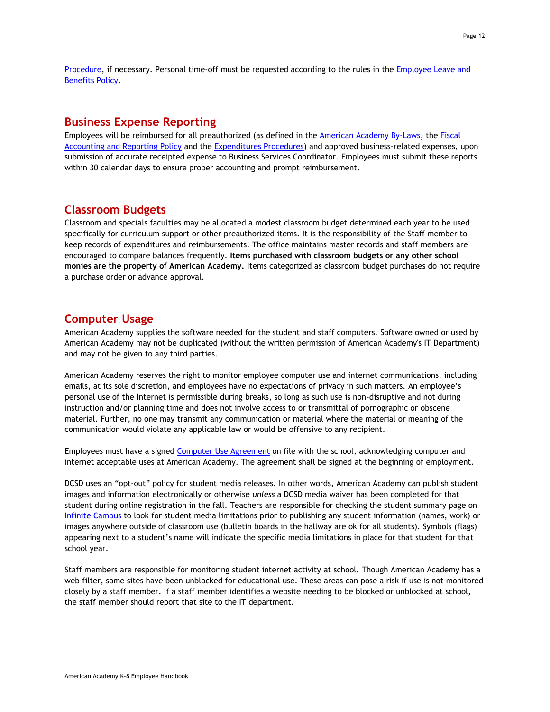<span id="page-11-0"></span>[Procedure,](http://www.americanacademyk8.org/aastaffhome/BOD/procedures/SubstituteProcedure.pdf) if necessary. Personal time-off must be requested according to the rules in the Employee Leave and [Benefits Policy.](http://www.americanacademyk8.org/AADocumentServer/BOD/BODPolicies/EmployeeLeaveBenefitsPolicy.pdf)

## **Business Expense Reporting**

Employees will be reimbursed for all preauthorized (as defined in the [American Academy By-Laws,](http://www.americanacademyk8.org/AADocumentServer/BOD/BODPolicies/AABylaws.pdf) the [Fiscal](http://www.americanacademyk8.org/AADocumentServer/BOD/BODPolicies/FiscalAccounting&ReportingPolicy.pdf)  [Accounting and Reporting Policy](http://www.americanacademyk8.org/AADocumentServer/BOD/BODPolicies/FiscalAccounting&ReportingPolicy.pdf) and the [Expenditures](http://www.americanacademyk8.org/admin/staffprocedures.aspx) Procedures) and approved business-related expenses, upon submission of accurate receipted expense to Business Services Coordinator. Employees must submit these reports within 30 calendar days to ensure proper accounting and prompt reimbursement.

## <span id="page-11-1"></span>**Classroom Budgets**

Classroom and specials faculties may be allocated a modest classroom budget determined each year to be used specifically for curriculum support or other preauthorized items. It is the responsibility of the Staff member to keep records of expenditures and reimbursements. The office maintains master records and staff members are encouraged to compare balances frequently. **Items purchased with classroom budgets or any other school monies are the property of American Academy.** Items categorized as classroom budget purchases do not require a purchase order or advance approval.

## <span id="page-11-2"></span>**Computer Usage**

American Academy supplies the software needed for the student and staff computers. Software owned or used by American Academy may not be duplicated (without the written permission of American Academy's IT Department) and may not be given to any third parties.

American Academy reserves the right to monitor employee computer use and internet communications, including emails, at its sole discretion, and employees have no expectations of privacy in such matters. An employee's personal use of the Internet is permissible during breaks, so long as such use is non-disruptive and not during instruction and/or planning time and does not involve access to or transmittal of pornographic or obscene material. Further, no one may transmit any communication or material where the material or meaning of the communication would violate any applicable law or would be offensive to any recipient.

Employees must have a signed [Computer Use Agreement](http://www.americanacademyk8.org/aastaffhome/BOD/forms/employment/HR8-ComputerUseAgreementForm.pdf) on file with the school, acknowledging computer and internet acceptable uses at American Academy. The agreement shall be signed at the beginning of employment.

DCSD uses an "opt-out" policy for student media releases. In other words, American Academy can publish student images and information electronically or otherwise *unless* a DCSD media waiver has been completed for that student during online registration in the fall. Teachers are responsible for checking the student summary page on [Infinite Campus](https://campus.dcsdk12.org/icprod/icprod.jsp) to look for student media limitations prior to publishing any student information (names, work) or images anywhere outside of classroom use (bulletin boards in the hallway are ok for all students). Symbols (flags) appearing next to a student's name will indicate the specific media limitations in place for that student for that school year.

Staff members are responsible for monitoring student internet activity at school. Though American Academy has a web filter, some sites have been unblocked for educational use. These areas can pose a risk if use is not monitored closely by a staff member. If a staff member identifies a website needing to be blocked or unblocked at school, the staff member should report that site to the IT department.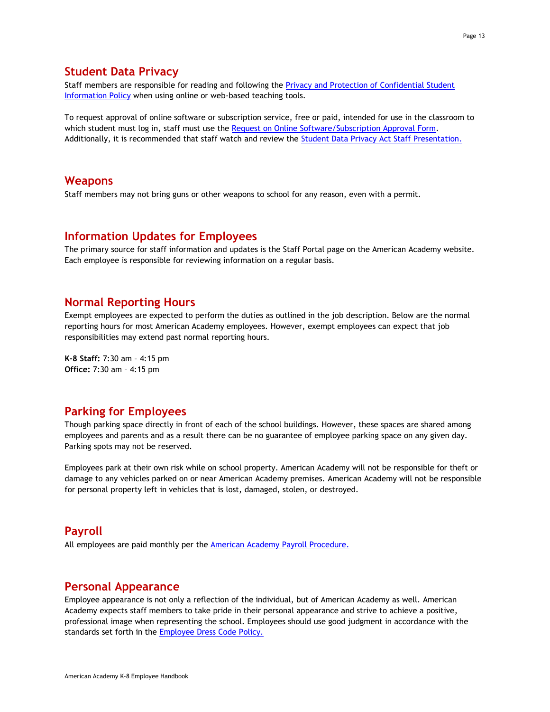## <span id="page-12-0"></span>**Student Data Privacy**

Staff members are responsible for reading and following the [Privacy and Protection of Confidential Student](http://www.americanacademyk8.org/AADocumentServer/BOD/BODPolicies/PrivacyProtectionConfidentialStudentInformationPolicy.pdf)  [Information Policy](http://www.americanacademyk8.org/AADocumentServer/BOD/BODPolicies/PrivacyProtectionConfidentialStudentInformationPolicy.pdf) when using online or web-based teaching tools.

To request approval of online software or subscription service, free or paid, intended for use in the classroom to which student must log in, staff must use the [Request on Online Software/Subscription Approval](https://form.jotform.com/aak8/softwaresubscriptionrequest) Form. Additionally, it is recommended that staff watch and review the [Student Data Privacy Act Staff Presentation.](http://www.americanacademyk8.org/aastaffhome/bod/forms/dataprivacy/StudentDataPrivacy_StaffTrainingPresentation.pptx)

## <span id="page-12-1"></span>**Weapons**

<span id="page-12-2"></span>Staff members may not bring guns or other weapons to school for any reason, even with a permit.

## **Information Updates for Employees**

<span id="page-12-3"></span>The primary source for staff information and updates is the Staff Portal page on the American Academy website. Each employee is responsible for reviewing information on a regular basis.

## **Normal Reporting Hours**

Exempt employees are expected to perform the duties as outlined in the job description. Below are the normal reporting hours for most American Academy employees. However, exempt employees can expect that job responsibilities may extend past normal reporting hours.

<span id="page-12-4"></span>**K-8 Staff:** 7:30 am – 4:15 pm **Office:** 7:30 am – 4:15 pm

## **Parking for Employees**

Though parking space directly in front of each of the school buildings. However, these spaces are shared among employees and parents and as a result there can be no guarantee of employee parking space on any given day. Parking spots may not be reserved.

Employees park at their own risk while on school property. American Academy will not be responsible for theft or damage to any vehicles parked on or near American Academy premises. American Academy will not be responsible for personal property left in vehicles that is lost, damaged, stolen, or destroyed.

### <span id="page-12-5"></span>**Payroll**

<span id="page-12-6"></span>All employees are paid monthly per the **American Academy Payroll Procedure.** 

### **Personal Appearance**

Employee appearance is not only a reflection of the individual, but of American Academy as well. American Academy expects staff members to take pride in their personal appearance and strive to achieve a positive, professional image when representing the school. Employees should use good judgment in accordance with the standards set forth in the **Employee Dress Code Policy.**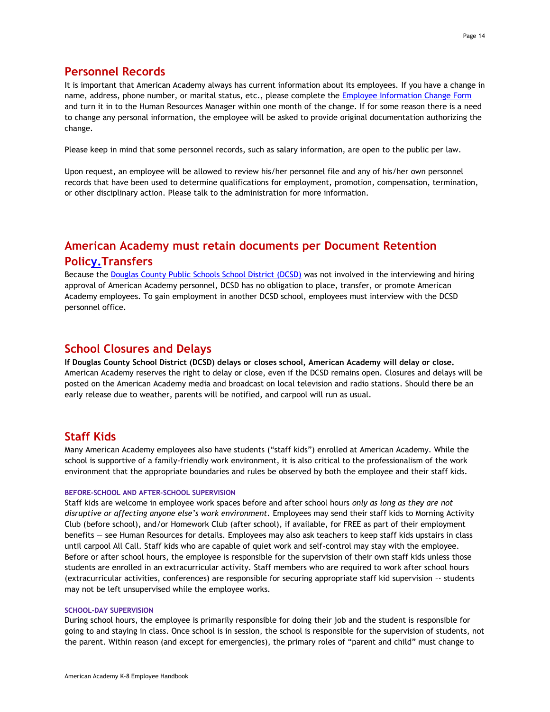## <span id="page-13-0"></span>**Personnel Records**

It is important that American Academy always has current information about its employees. If you have a change in name, address, phone number, or marital status, etc., please complete the [Employee Information Change Form](http://www.americanacademyk8.org/aastaffhome/BOD/forms/staff/EmployeeInformationChangeForm.pdf) and turn it in to the Human Resources Manager within one month of the change. If for some reason there is a need to change any personal information, the employee will be asked to provide original documentation authorizing the change.

Please keep in mind that some personnel records, such as salary information, are open to the public per law.

Upon request, an employee will be allowed to review his/her personnel file and any of his/her own personnel records that have been used to determine qualifications for employment, promotion, compensation, termination, or other disciplinary action. Please talk to the administration for more information.

## <span id="page-13-1"></span>**American Academy must retain documents per [Document Retention](http://www.americanacademyk8.org/AADocumentServer/BOD/BODPolicies/Documentretentionpolicy.pdf)  [Policy.](http://www.americanacademyk8.org/AADocumentServer/BOD/BODPolicies/Documentretentionpolicy.pdf)Transfers**

Because the [Douglas County Public Schools School District \(DCSD\)](https://www.dcsdk12.org/) was not involved in the interviewing and hiring approval of American Academy personnel, DCSD has no obligation to place, transfer, or promote American Academy employees. To gain employment in another DCSD school, employees must interview with the DCSD personnel office.

## <span id="page-13-2"></span>**School Closures and Delays**

**If Douglas County School District (DCSD) delays or closes school, American Academy will delay or close.** American Academy reserves the right to delay or close, even if the DCSD remains open. Closures and delays will be posted on the American Academy media and broadcast on local television and radio stations. Should there be an early release due to weather, parents will be notified, and carpool will run as usual.

## <span id="page-13-3"></span>**Staff Kids**

Many American Academy employees also have students ("staff kids") enrolled at American Academy. While the school is supportive of a family-friendly work environment, it is also critical to the professionalism of the work environment that the appropriate boundaries and rules be observed by both the employee and their staff kids.

#### <span id="page-13-4"></span>**BEFORE-SCHOOL AND AFTER-SCHOOL SUPERVISION**

Staff kids are welcome in employee work spaces before and after school hours *only as long as they are not disruptive or affecting anyone else's work environment.* Employees may send their staff kids to Morning Activity Club (before school), and/or Homework Club (after school), if available, for FREE as part of their employment benefits — see Human Resources for details. Employees may also ask teachers to keep staff kids upstairs in class until carpool All Call. Staff kids who are capable of quiet work and self-control may stay with the employee. Before or after school hours, the employee is responsible for the supervision of their own staff kids unless those students are enrolled in an extracurricular activity. Staff members who are required to work after school hours (extracurricular activities, conferences) are responsible for securing appropriate staff kid supervision –- students may not be left unsupervised while the employee works.

#### <span id="page-13-5"></span>**SCHOOL-DAY SUPERVISION**

During school hours, the employee is primarily responsible for doing their job and the student is responsible for going to and staying in class. Once school is in session, the school is responsible for the supervision of students, not the parent. Within reason (and except for emergencies), the primary roles of "parent and child" must change to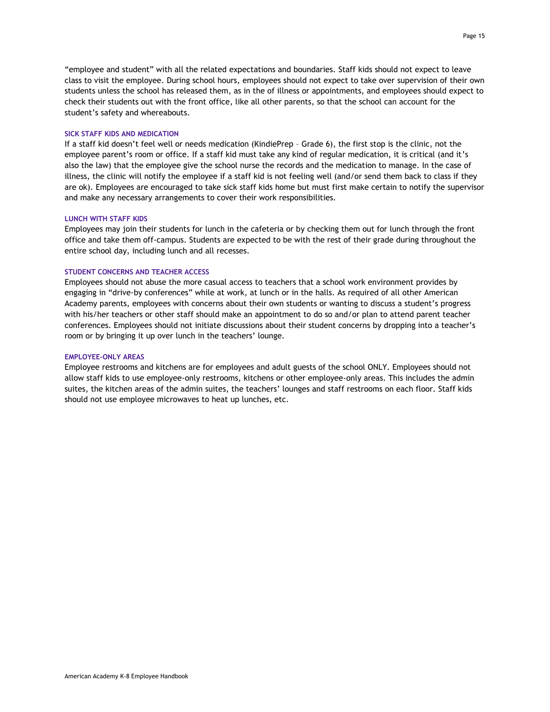"employee and student" with all the related expectations and boundaries. Staff kids should not expect to leave class to visit the employee. During school hours, employees should not expect to take over supervision of their own students unless the school has released them, as in the of illness or appointments, and employees should expect to check their students out with the front office, like all other parents, so that the school can account for the student's safety and whereabouts.

#### <span id="page-14-0"></span>**SICK STAFF KIDS AND MEDICATION**

If a staff kid doesn't feel well or needs medication (KindiePrep – Grade 6), the first stop is the clinic, not the employee parent's room or office. If a staff kid must take any kind of regular medication, it is critical (and it's also the law) that the employee give the school nurse the records and the medication to manage. In the case of illness, the clinic will notify the employee if a staff kid is not feeling well (and/or send them back to class if they are ok). Employees are encouraged to take sick staff kids home but must first make certain to notify the supervisor and make any necessary arrangements to cover their work responsibilities.

#### <span id="page-14-1"></span>**LUNCH WITH STAFF KIDS**

Employees may join their students for lunch in the cafeteria or by checking them out for lunch through the front office and take them off-campus. Students are expected to be with the rest of their grade during throughout the entire school day, including lunch and all recesses.

#### <span id="page-14-2"></span>**STUDENT CONCERNS AND TEACHER ACCESS**

Employees should not abuse the more casual access to teachers that a school work environment provides by engaging in "drive-by conferences" while at work, at lunch or in the halls. As required of all other American Academy parents, employees with concerns about their own students or wanting to discuss a student's progress with his/her teachers or other staff should make an appointment to do so and/or plan to attend parent teacher conferences. Employees should not initiate discussions about their student concerns by dropping into a teacher's room or by bringing it up over lunch in the teachers' lounge.

#### <span id="page-14-3"></span>**EMPLOYEE-ONLY AREAS**

Employee restrooms and kitchens are for employees and adult guests of the school ONLY. Employees should not allow staff kids to use employee-only restrooms, kitchens or other employee-only areas. This includes the admin suites, the kitchen areas of the admin suites, the teachers' lounges and staff restrooms on each floor. Staff kids should not use employee microwaves to heat up lunches, etc.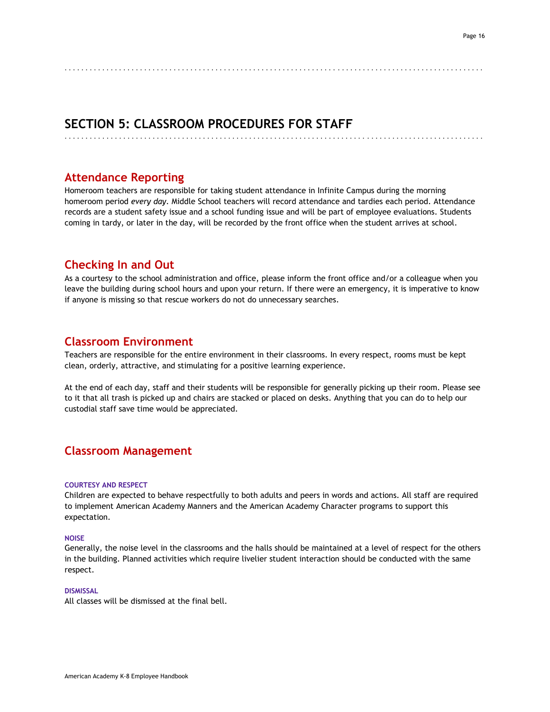## **SECTION 5: CLASSROOM PROCEDURES FOR STAFF**

## **Attendance Reporting**

Homeroom teachers are responsible for taking student attendance in Infinite Campus during the morning homeroom period *every day*. Middle School teachers will record attendance and tardies each period. Attendance records are a student safety issue and a school funding issue and will be part of employee evaluations. Students coming in tardy, or later in the day, will be recorded by the front office when the student arrives at school.

<span id="page-15-0"></span>. . . . . . . . . . . . . . . . . . . . . . . . . . . . . . . . . . . . . . . . . . . . . . . . . . . . . . . . . . . . . . . . . . . . . . . . . . . . . . . . . . . . . . . . . . . . . . . . . . . .

<span id="page-15-1"></span>. . . . . . . . . . . . . . . . . . . . . . . . . . . . . . . . . . . . . . . . . . . . . . . . . . . . . . . . . . . . . . . . . . . . . . . . . . . . . . . . . . . . . . . . . . . . . . . . . . . .

## <span id="page-15-2"></span>**Checking In and Out**

As a courtesy to the school administration and office, please inform the front office and/or a colleague when you leave the building during school hours and upon your return. If there were an emergency, it is imperative to know if anyone is missing so that rescue workers do not do unnecessary searches.

## <span id="page-15-3"></span>**Classroom Environment**

Teachers are responsible for the entire environment in their classrooms. In every respect, rooms must be kept clean, orderly, attractive, and stimulating for a positive learning experience.

At the end of each day, staff and their students will be responsible for generally picking up their room. Please see to it that all trash is picked up and chairs are stacked or placed on desks. Anything that you can do to help our custodial staff save time would be appreciated.

## <span id="page-15-5"></span><span id="page-15-4"></span>**Classroom Management**

#### **COURTESY AND RESPECT**

Children are expected to behave respectfully to both adults and peers in words and actions. All staff are required to implement American Academy Manners and the American Academy Character programs to support this expectation.

#### <span id="page-15-6"></span>**NOISE**

Generally, the noise level in the classrooms and the halls should be maintained at a level of respect for the others in the building. Planned activities which require livelier student interaction should be conducted with the same respect.

#### <span id="page-15-7"></span>**DISMISSAL**

All classes will be dismissed at the final bell.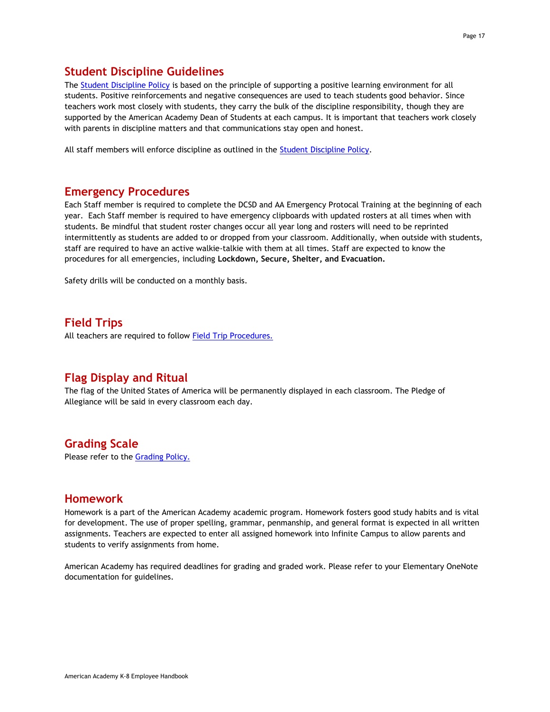## <span id="page-16-0"></span>**Student Discipline Guidelines**

The [Student Discipline Policy](http://www.americanacademyk8.org/AADocumentServer/BOD/BODPolicies/StudentDisciplinePolicy.pdf) is based on the principle of supporting a positive learning environment for all students. Positive reinforcements and negative consequences are used to teach students good behavior. Since teachers work most closely with students, they carry the bulk of the discipline responsibility, though they are supported by the American Academy Dean of Students at each campus. It is important that teachers work closely with parents in discipline matters and that communications stay open and honest.

<span id="page-16-1"></span>All staff members will enforce discipline as outlined in the [Student Discipline Policy.](http://www.americanacademyk8.org/AADocumentServer/BOD/BODPolicies/StudentDisciplinePolicy.pdf)

## **Emergency Procedures**

Each Staff member is required to complete the DCSD and AA Emergency Protocal Training at the beginning of each year. Each Staff member is required to have emergency clipboards with updated rosters at all times when with students. Be mindful that student roster changes occur all year long and rosters will need to be reprinted intermittently as students are added to or dropped from your classroom. Additionally, when outside with students, staff are required to have an active walkie-talkie with them at all times. Staff are expected to know the procedures for all emergencies, including **Lockdown, Secure, Shelter, and Evacuation.**

<span id="page-16-2"></span>Safety drills will be conducted on a monthly basis.

## **Field Trips**

<span id="page-16-3"></span>All teachers are required to follow [Field Trip Procedures.](http://www.americanacademyk8.org/aastaffhome/BOD/procedures/FieldTripProcedure.pdf)

## **Flag Display and Ritual**

<span id="page-16-4"></span>The flag of the United States of America will be permanently displayed in each classroom. The Pledge of Allegiance will be said in every classroom each day.

## **Grading Scale**

<span id="page-16-5"></span>Please refer to th[e Grading Policy.](http://www.americanacademyk8.org/AADocumentServer/BOD/BODPolicies/GradingPolicy.pdf)

## **Homework**

Homework is a part of the American Academy academic program. Homework fosters good study habits and is vital for development. The use of proper spelling, grammar, penmanship, and general format is expected in all written assignments. Teachers are expected to enter all assigned homework into Infinite Campus to allow parents and students to verify assignments from home.

American Academy has required deadlines for grading and graded work. Please refer to your Elementary OneNote documentation for guidelines.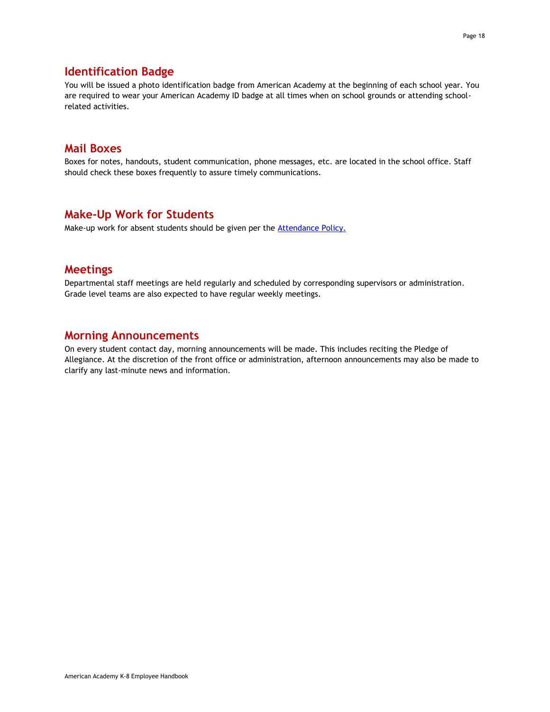## <span id="page-17-0"></span>**Identification Badge**

You will be issued a photo identification badge from American Academy at the beginning of each school year. You are required to wear your American Academy ID badge at all times when on school grounds or attending schoolrelated activities.

## <span id="page-17-1"></span>**Mail Boxes**

<span id="page-17-2"></span>Boxes for notes, handouts, student communication, phone messages, etc. are located in the school office. Staff should check these boxes frequently to assure timely communications.

## **Make-Up Work for Students**

<span id="page-17-3"></span>Make-up work for absent students should be given per the **Attendance Policy.** 

## **Meetings**

<span id="page-17-4"></span>Departmental staff meetings are held regularly and scheduled by corresponding supervisors or administration. Grade level teams are also expected to have regular weekly meetings.

## **Morning Announcements**

On every student contact day, morning announcements will be made. This includes reciting the Pledge of Allegiance. At the discretion of the front office or administration, afternoon announcements may also be made to clarify any last-minute news and information.